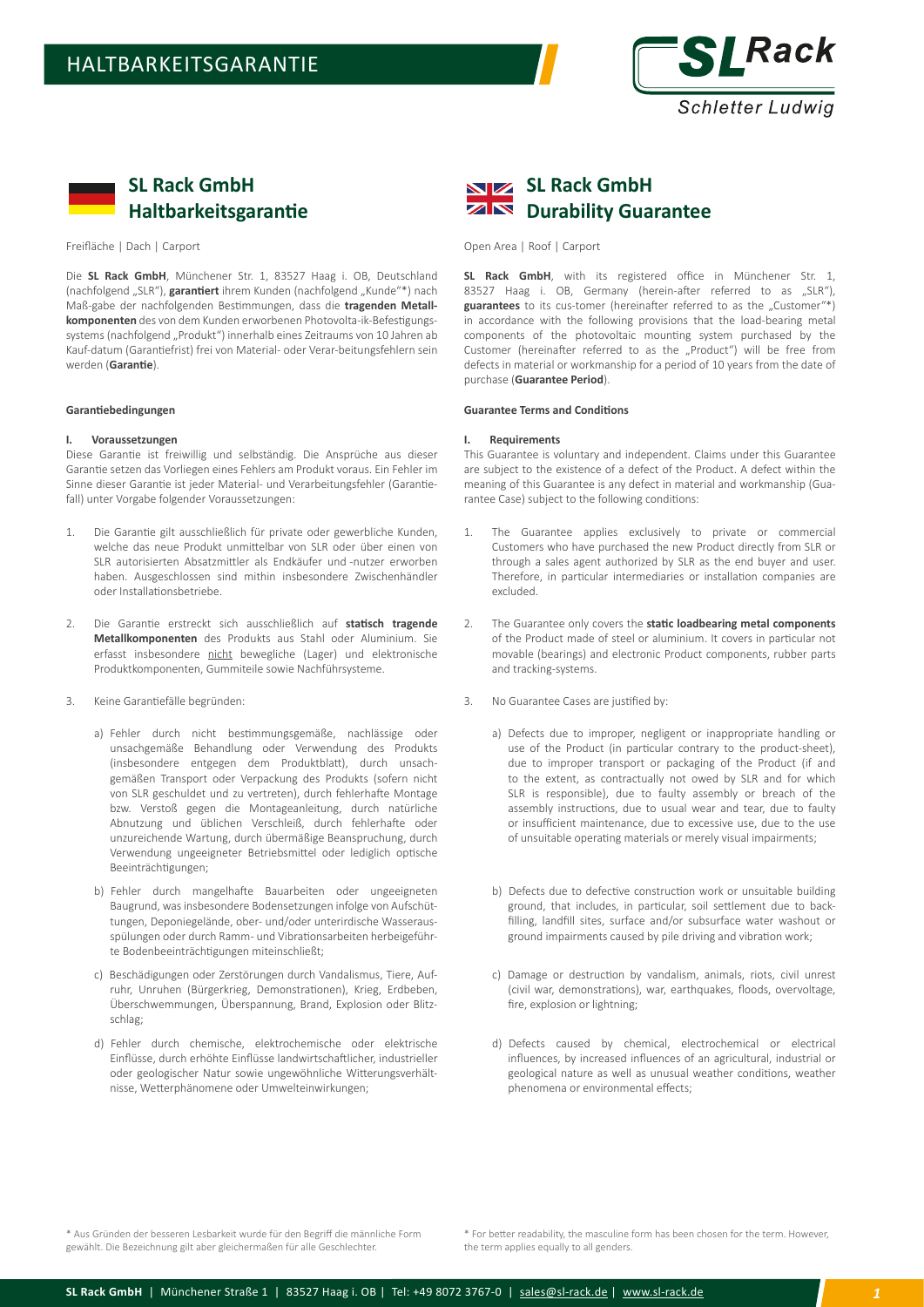

# **SL Rack GmbH Haltbarkeitsgarantie**

Freifläche | Dach | Carport

Die **SL Rack GmbH**, Münchener Str. 1, 83527 Haag i. OB, Deutschland (nachfolgend "SLR"), **garantiert** ihrem Kunden (nachfolgend "Kunde"\*) nach Maß-gabe der nachfolgenden Bestimmungen, dass die **tragenden Metallkomponenten** des von dem Kunden erworbenen Photovolta-ik-Befestigungssystems (nachfolgend "Produkt") innerhalb eines Zeitraums von 10 Jahren ab Kauf-datum (Garantiefrist) frei von Material- oder Verar-beitungsfehlern sein werden (**Garantie**).

## **Garantiebedingungen**

## **I. Voraussetzungen**

Diese Garantie ist freiwillig und selbständig. Die Ansprüche aus dieser Garantie setzen das Vorliegen eines Fehlers am Produkt voraus. Ein Fehler im Sinne dieser Garantie ist jeder Material- und Verarbeitungsfehler (Garantiefall) unter Vorgabe folgender Voraussetzungen:

- 1. Die Garantie gilt ausschließlich für private oder gewerbliche Kunden, welche das neue Produkt unmittelbar von SLR oder über einen von SLR autorisierten Absatzmittler als Endkäufer und -nutzer erworben haben. Ausgeschlossen sind mithin insbesondere Zwischenhändler oder Installationsbetriebe.
- 2. Die Garantie erstreckt sich ausschließlich auf **statisch tragende Metallkomponenten** des Produkts aus Stahl oder Aluminium. Sie erfasst insbesondere nicht bewegliche (Lager) und elektronische Produktkomponenten, Gummiteile sowie Nachführsysteme.
- 3. Keine Garantiefälle begründen:
	- a) Fehler durch nicht bestimmungsgemäße, nachlässige oder unsachgemäße Behandlung oder Verwendung des Produkts (insbesondere entgegen dem Produktblatt), durch unsachgemäßen Transport oder Verpackung des Produkts (sofern nicht von SLR geschuldet und zu vertreten), durch fehlerhafte Montage bzw. Verstoß gegen die Montageanleitung, durch natürliche Abnutzung und üblichen Verschleiß, durch fehlerhafte oder unzureichende Wartung, durch übermäßige Beanspruchung, durch Verwendung ungeeigneter Betriebsmittel oder lediglich optische Beeinträchtigungen;
	- b) Fehler durch mangelhafte Bauarbeiten oder ungeeigneten Baugrund, was insbesondere Bodensetzungen infolge von Aufschüttungen, Deponiegelände, ober- und/oder unterirdische Wasserausspülungen oder durch Ramm- und Vibrationsarbeiten herbeigeführte Bodenbeeinträchtigungen miteinschließt;
	- c) Beschädigungen oder Zerstörungen durch Vandalismus, Tiere, Aufruhr, Unruhen (Bürgerkrieg, Demonstrationen), Krieg, Erdbeben, Überschwemmungen, Überspannung, Brand, Explosion oder Blitzschlag;
	- d) Fehler durch chemische, elektrochemische oder elektrische Einflüsse, durch erhöhte Einflüsse landwirtschaftlicher, industrieller oder geologischer Natur sowie ungewöhnliche Witterungsverhältnisse, Wetterphänomene oder Umwelteinwirkungen;



Open Area | Roof | Carport

**SL Rack GmbH**, with its registered office in Münchener Str. 1, 83527 Haag i. OB, Germany (herein-after referred to as "SLR"), guarantees to its cus-tomer (hereinafter referred to as the "Customer"\*) in accordance with the following provisions that the load-bearing metal components of the photovoltaic mounting system purchased by the Customer (hereinafter referred to as the "Product") will be free from defects in material or workmanship for a period of 10 years from the date of purchase (**Guarantee Period**).

# **Guarantee Terms and Conditions**

#### **I. Requirements**

This Guarantee is voluntary and independent. Claims under this Guarantee are subject to the existence of a defect of the Product. A defect within the meaning of this Guarantee is any defect in material and workmanship (Guarantee Case) subject to the following conditions:

- 1. The Guarantee applies exclusively to private or commercial Customers who have purchased the new Product directly from SLR or through a sales agent authorized by SLR as the end buyer and user. Therefore, in particular intermediaries or installation companies are excluded.
- 2. The Guarantee only covers the **static loadbearing metal components**  of the Product made of steel or aluminium. It covers in particular not movable (bearings) and electronic Product components, rubber parts and tracking-systems.
- 3. No Guarantee Cases are justified by:
	- a) Defects due to improper, negligent or inappropriate handling or use of the Product (in particular contrary to the product-sheet), due to improper transport or packaging of the Product (if and to the extent, as contractually not owed by SLR and for which SLR is responsible), due to faulty assembly or breach of the assembly instructions, due to usual wear and tear, due to faulty or insufficient maintenance, due to excessive use, due to the use of unsuitable operating materials or merely visual impairments;
	- b) Defects due to defective construction work or unsuitable building ground, that includes, in particular, soil settlement due to backfilling, landfill sites, surface and/or subsurface water washout or ground impairments caused by pile driving and vibration work;
	- c) Damage or destruction by vandalism, animals, riots, civil unrest (civil war, demonstrations), war, earthquakes, floods, overvoltage, fire, explosion or lightning;
	- d) Defects caused by chemical, electrochemical or electrical influences, by increased influences of an agricultural, industrial or geological nature as well as unusual weather conditions, weather phenomena or environmental effects;

\* Aus Gründen der besseren Lesbarkeit wurde für den Begriff die männliche Form gewählt. Die Bezeichnung gilt aber gleichermaßen für alle Geschlechter.

\* For better readability, the masculine form has been chosen for the term. However, the term applies equally to all genders.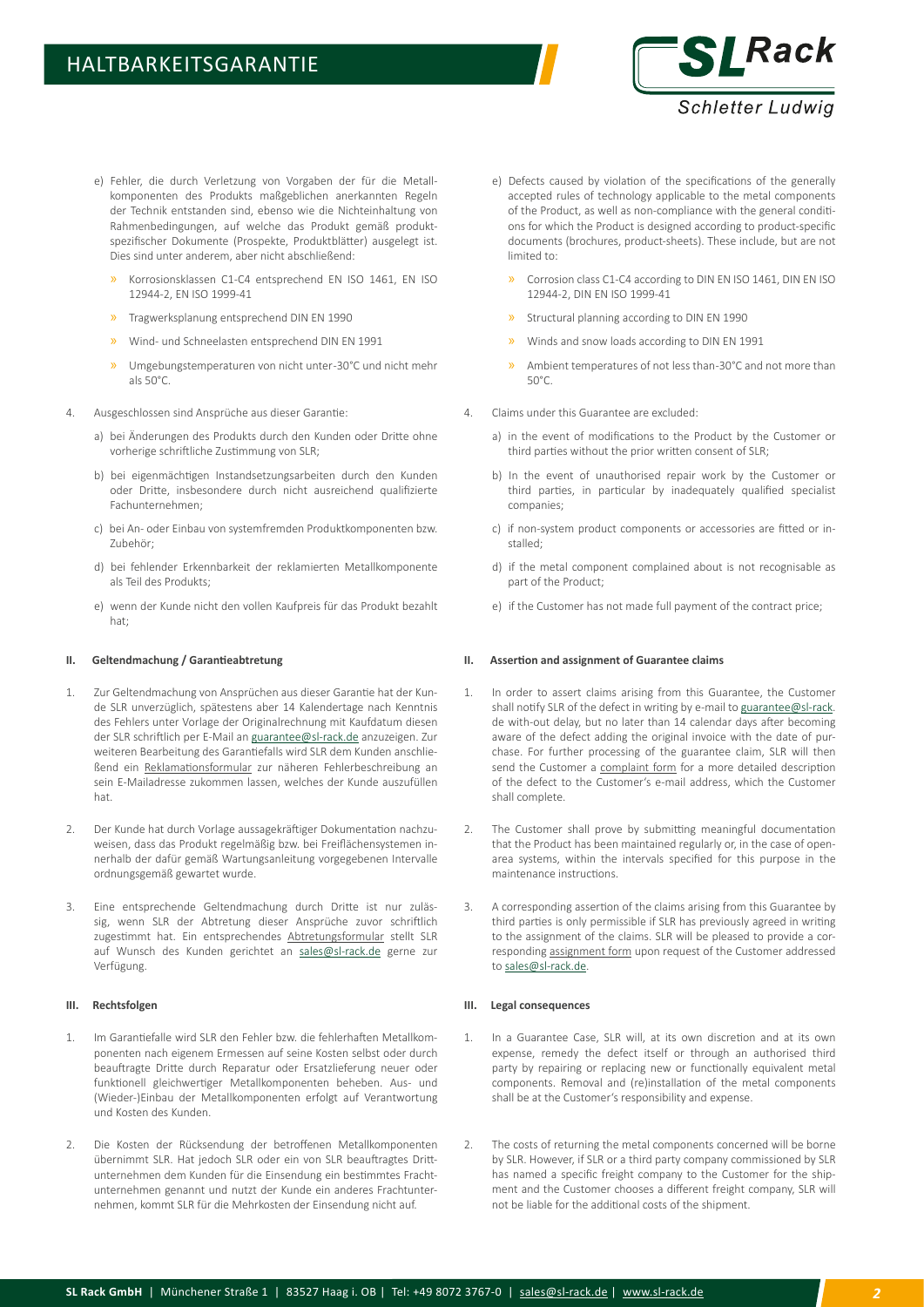

- e) Fehler, die durch Verletzung von Vorgaben der für die Metallkomponenten des Produkts maßgeblichen anerkannten Regeln der Technik entstanden sind, ebenso wie die Nichteinhaltung von Rahmenbedingungen, auf welche das Produkt gemäß produktspezifischer Dokumente (Prospekte, Produktblätter) ausgelegt ist. Dies sind unter anderem, aber nicht abschließend:
	- » Korrosionsklassen C1-C4 entsprechend EN ISO 1461, EN ISO 12944-2, EN ISO 1999-41
	- » Tragwerksplanung entsprechend DIN EN 1990
	- » Wind- und Schneelasten entsprechend DIN EN 1991
	- » Umgebungstemperaturen von nicht unter -30°C und nicht mehr als 50°C.
- 4. Ausgeschlossen sind Ansprüche aus dieser Garantie:
	- a) bei Änderungen des Produkts durch den Kunden oder Dritte ohne vorherige schriftliche Zustimmung von SLR;
	- b) bei eigenmächtigen Instandsetzungsarbeiten durch den Kunden oder Dritte, insbesondere durch nicht ausreichend qualifizierte Fachunternehmen;
	- c) bei An- oder Einbau von systemfremden Produktkomponenten bzw. Zubehör;
	- d) bei fehlender Erkennbarkeit der reklamierten Metallkomponente als Teil des Produkts;
	- e) wenn der Kunde nicht den vollen Kaufpreis für das Produkt bezahlt hat;

# **II. Geltendmachung / Garantieabtretung**

- 1. Zur Geltendmachung von Ansprüchen aus dieser Garantie hat der Kunde SLR unverzüglich, spätestens aber 14 Kalendertage nach Kenntnis des Fehlers unter Vorlage der Originalrechnung mit Kaufdatum diesen der SLR schriftlich per E-Mail an [guarantee@sl-rack.de](mailto:guarantee%40sl-rack.de?subject=) anzuzeigen. Zur weiteren Bearbeitung des Garantiefalls wird SLR dem Kunden anschließend ein Reklamationsformular zur näheren Fehlerbeschreibung an sein E-Mailadresse zukommen lassen, welches der Kunde auszufüllen hat.
- 2. Der Kunde hat durch Vorlage aussagekräftiger Dokumentation nachzuweisen, dass das Produkt regelmäßig bzw. bei Freiflächensystemen innerhalb der dafür gemäß Wartungsanleitung vorgegebenen Intervalle ordnungsgemäß gewartet wurde.
- 3. Eine entsprechende Geltendmachung durch Dritte ist nur zulässig, wenn SLR der Abtretung dieser Ansprüche zuvor schriftlich zugestimmt hat. Ein entsprechendes Abtretungsformular stellt SLR auf Wunsch des Kunden gerichtet an [sales@sl-rack.de](mailto:sales%40sl-rack.de?subject=) gerne zur Verfügung.

#### **III. Rechtsfolgen**

- 1. Im Garantiefalle wird SLR den Fehler bzw. die fehlerhaften Metallkomponenten nach eigenem Ermessen auf seine Kosten selbst oder durch beauftragte Dritte durch Reparatur oder Ersatzlieferung neuer oder funktionell gleichwertiger Metallkomponenten beheben. Aus- und (Wieder-)Einbau der Metallkomponenten erfolgt auf Verantwortung und Kosten des Kunden.
- 2. Die Kosten der Rücksendung der betroffenen Metallkomponenten übernimmt SLR. Hat jedoch SLR oder ein von SLR beauftragtes Drittunternehmen dem Kunden für die Einsendung ein bestimmtes Frachtunternehmen genannt und nutzt der Kunde ein anderes Frachtunternehmen, kommt SLR für die Mehrkosten der Einsendung nicht auf.
- e) Defects caused by violation of the specifications of the generally accepted rules of technology applicable to the metal components of the Product, as well as non-compliance with the general conditions for which the Product is designed according to product-specific documents (brochures, product-sheets). These include, but are not limited to:
	- » Corrosion class C1-C4 according to DIN EN ISO 1461, DIN EN ISO 12944-2, DIN EN ISO 1999-41
	- » Structural planning according to DIN EN 1990
	- » Winds and snow loads according to DIN EN 1991
	- Ambient temperatures of not less than-30°C and not more than  $50^{\circ}$ C
- 4. Claims under this Guarantee are excluded:
	- a) in the event of modifications to the Product by the Customer or third parties without the prior written consent of SLR;
	- b) In the event of unauthorised repair work by the Customer or third parties, in particular by inadequately qualified specialist companies;
	- c) if non-system product components or accessories are fitted or installed;
	- d) if the metal component complained about is not recognisable as part of the Product;
	- e) if the Customer has not made full payment of the contract price;

#### **II. Assertion and assignment of Guarantee claims**

- 1. In order to assert claims arising from this Guarantee, the Customer shall notify SLR of the defect in writing by e-mail to [guarantee@sl-rack.](mailto:guarantee%40sl-rack?subject=) de with-out delay, but no later than 14 calendar days after becoming aware of the defect adding the original invoice with the date of purchase. For further processing of the guarantee claim, SLR will then send the Customer a complaint form for a more detailed description of the defect to the Customer's e-mail address, which the Customer shall complete.
- 2. The Customer shall prove by submitting meaningful documentation that the Product has been maintained regularly or, in the case of openarea systems, within the intervals specified for this purpose in the maintenance instructions.
- 3. A corresponding assertion of the claims arising from this Guarantee by third parties is only permissible if SLR has previously agreed in writing to the assignment of the claims. SLR will be pleased to provide a corresponding assignment form upon request of the Customer addressed to sales@sl-rack.de

#### **III. Legal consequences**

- 1. In a Guarantee Case, SLR will, at its own discretion and at its own expense, remedy the defect itself or through an authorised third party by repairing or replacing new or functionally equivalent metal components. Removal and (re)installation of the metal components shall be at the Customer's responsibility and expense.
- 2. The costs of returning the metal components concerned will be borne by SLR. However, if SLR or a third party company commissioned by SLR has named a specific freight company to the Customer for the shipment and the Customer chooses a different freight company, SLR will not be liable for the additional costs of the shipment.